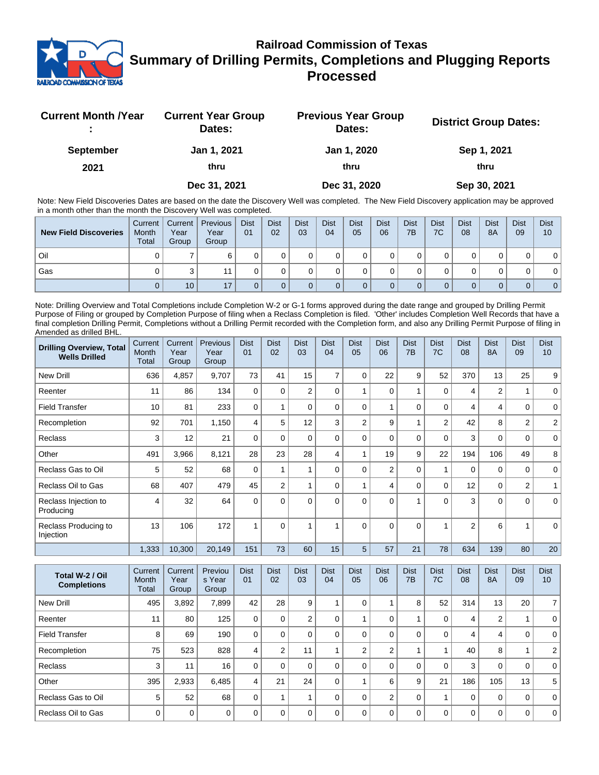

## **Railroad Commission of Texas Summary of Drilling Permits, Completions and Plugging Reports Processed**

| <b>Current Month /Year</b> | <b>Current Year Group</b><br>Dates: | <b>Previous Year Group</b><br>Dates: | <b>District Group Dates:</b> |
|----------------------------|-------------------------------------|--------------------------------------|------------------------------|
| <b>September</b>           | Jan 1, 2021                         | Jan 1, 2020                          | Sep 1, 2021                  |
| 2021                       | thru                                | thru                                 | thru                         |
|                            | Dec 31, 2021                        | Dec 31, 2020                         | Sep 30, 2021                 |

Note: New Field Discoveries Dates are based on the date the Discovery Well was completed. The New Field Discovery application may be approved in a month other than the month the Discovery Well was completed.

| <b>New Field Discoveries</b> | Current<br>Month<br><b>Total</b> | Current  <br>Year<br>Group | <b>Previous</b><br>Year<br>Group | <b>Dist</b><br>01 | <b>Dist</b><br>02 | <b>Dist</b><br>03 | <b>Dist</b><br>04 | <b>Dist</b><br>05 | <b>Dist</b><br>06 | <b>Dist</b><br>7B | <b>Dist</b><br>7C | <b>Dist</b><br>08 | <b>Dist</b><br>8A | <b>Dist</b><br>09 | <b>Dist</b><br>10 |
|------------------------------|----------------------------------|----------------------------|----------------------------------|-------------------|-------------------|-------------------|-------------------|-------------------|-------------------|-------------------|-------------------|-------------------|-------------------|-------------------|-------------------|
| Oil                          |                                  |                            |                                  |                   |                   |                   |                   |                   |                   |                   |                   |                   |                   |                   |                   |
| Gas                          |                                  |                            |                                  |                   |                   |                   |                   |                   |                   |                   |                   |                   |                   |                   |                   |
|                              |                                  | 10 <sup>°</sup>            | 17                               |                   |                   |                   |                   |                   |                   |                   |                   |                   |                   | 0                 | 0 <sup>1</sup>    |

Note: Drilling Overview and Total Completions include Completion W-2 or G-1 forms approved during the date range and grouped by Drilling Permit Purpose of Filing or grouped by Completion Purpose of filing when a Reclass Completion is filed. 'Other' includes Completion Well Records that have a final completion Drilling Permit, Completions without a Drilling Permit recorded with the Completion form, and also any Drilling Permit Purpose of filing in Amended as drilled BHL.

| <b>Drilling Overview, Total</b><br><b>Wells Drilled</b> | Current<br>Month<br><b>Total</b> | Current<br>Year<br>Group | Previous<br>Year<br>Group | <b>Dist</b><br>01 | <b>Dist</b><br>02 | <b>Dist</b><br>03 | <b>Dist</b><br>04 | <b>Dist</b><br>05 | <b>Dist</b><br>06 | <b>Dist</b><br>7B | <b>Dist</b><br>7C | <b>Dist</b><br>08 | <b>Dist</b><br><b>8A</b> | <b>Dist</b><br>09 | <b>Dist</b><br>10 |
|---------------------------------------------------------|----------------------------------|--------------------------|---------------------------|-------------------|-------------------|-------------------|-------------------|-------------------|-------------------|-------------------|-------------------|-------------------|--------------------------|-------------------|-------------------|
| <b>New Drill</b>                                        | 636                              | 4,857                    | 9,707                     | 73                | 41                | 15                | $\overline{7}$    | $\Omega$          | 22                | 9                 | 52                | 370               | 13                       | 25                | 9                 |
| Reenter                                                 | 11                               | 86                       | 134                       | $\Omega$          | $\Omega$          | $\overline{2}$    | $\Omega$          |                   | $\Omega$          | 1                 | 0                 | 4                 | $\mathbf{2}$             |                   | $\mathbf 0$       |
| <b>Field Transfer</b>                                   | 10                               | 81                       | 233                       | $\mathbf 0$       |                   | 0                 | $\Omega$          | $\Omega$          |                   | 0                 | $\mathbf 0$       | 4                 | 4                        | $\mathbf 0$       | $\mathbf 0$       |
| Recompletion                                            | 92                               | 701                      | 1,150                     | 4                 | 5                 | 12                | 3                 | $\overline{2}$    | 9                 | 1                 | $\overline{2}$    | 42                | 8                        | $\overline{2}$    | 2                 |
| Reclass                                                 | 3                                | 12                       | 21                        | $\Omega$          | $\Omega$          | 0                 | $\Omega$          | $\Omega$          | 0                 | 0                 | $\mathbf 0$       | 3                 | 0                        | 0                 | 0                 |
| Other                                                   | 491                              | 3,966                    | 8,121                     | 28                | 23                | 28                | 4                 |                   | 19                | 9                 | 22                | 194               | 106                      | 49                | 8                 |
| Reclass Gas to Oil                                      | 5                                | 52                       | 68                        | $\Omega$          |                   |                   | $\Omega$          | $\Omega$          | $\overline{2}$    | 0                 | 1                 | $\mathbf 0$       | $\mathbf 0$              | $\mathbf 0$       | $\mathbf 0$       |
| Reclass Oil to Gas                                      | 68                               | 407                      | 479                       | 45                | $\overline{2}$    |                   | $\Omega$          |                   | 4                 | 0                 | $\mathbf 0$       | 12                | $\mathbf 0$              | $\overline{2}$    |                   |
| Reclass Injection to<br>Producing                       | 4                                | 32                       | 64                        | $\Omega$          | $\Omega$          | $\Omega$          | $\Omega$          | $\Omega$          | $\Omega$          | 1                 | $\Omega$          | 3                 | $\Omega$                 | $\Omega$          | $\Omega$          |
| Reclass Producing to<br>Injection                       | 13                               | 106                      | 172                       |                   | $\Omega$          |                   |                   | $\Omega$          | $\Omega$          | $\Omega$          | 4                 | 2                 | 6                        |                   | $\Omega$          |
|                                                         | 1,333                            | 10,300                   | 20,149                    | 151               | 73                | 60                | 15                | 5                 | 57                | 21                | 78                | 634               | 139                      | 80                | 20                |

| Total W-2 / Oil<br><b>Completions</b> | Current<br>Month<br>Total | Current<br>Year<br>Group | Previou<br>s Year<br>Group | <b>Dist</b><br>01 | <b>Dist</b><br>02 | <b>Dist</b><br>03 | <b>Dist</b><br>04 | <b>Dist</b><br>05 | <b>Dist</b><br>06 | <b>Dist</b><br>7B | <b>Dist</b><br>7C | <b>Dist</b><br>08 | <b>Dist</b><br><b>8A</b> | <b>Dist</b><br>09 | <b>Dist</b><br>10 <sup>°</sup> |
|---------------------------------------|---------------------------|--------------------------|----------------------------|-------------------|-------------------|-------------------|-------------------|-------------------|-------------------|-------------------|-------------------|-------------------|--------------------------|-------------------|--------------------------------|
| New Drill                             | 495                       | 3,892                    | 7,899                      | 42                | 28                | 9                 |                   |                   |                   | 8                 | 52                | 314               | 13                       | 20                | 7 <sup>1</sup>                 |
| Reenter                               | 11                        | 80                       | 125                        | 0                 | 0                 | 2                 | 0                 |                   | $\Omega$          |                   | 0                 | 4                 | 2                        |                   | $\Omega$                       |
| <b>Field Transfer</b>                 | 8                         | 69                       | 190                        | 0                 | 0                 | 0                 |                   |                   | $\Omega$          | 0                 | 0                 | 4                 | 4                        | 0                 | $\overline{0}$                 |
| Recompletion                          | 75                        | 523                      | 828                        | 4                 | າ                 | 11                |                   | $\overline{2}$    | $\overline{2}$    |                   |                   | 40                | 8                        |                   | 2 <sup>1</sup>                 |
| <b>Reclass</b>                        | 3                         | 11                       | 16                         | 0                 | 0                 | 0                 |                   |                   | $\Omega$          | $\Omega$          | 0                 | 3                 | 0                        | 0                 | 0 <sup>1</sup>                 |
| Other                                 | 395                       | 2,933                    | 6,485                      | 4                 | 21                | 24                | 0                 |                   | 6                 | 9                 | 21                | 186               | 105                      | 13                | 5                              |
| Reclass Gas to Oil                    | 5                         | 52                       | 68                         | 0                 |                   |                   |                   |                   | 2                 | 0                 |                   | $\mathbf 0$       | 0                        | 0                 | $\mathbf 0$                    |
| Reclass Oil to Gas                    | $\Omega$                  | $\mathbf 0$              | $\Omega$                   | ∩                 | O                 | O                 |                   |                   | $\Omega$          | 0                 | $\Omega$          | $\Omega$          | 0                        | $\mathbf 0$       | 0 <sup>1</sup>                 |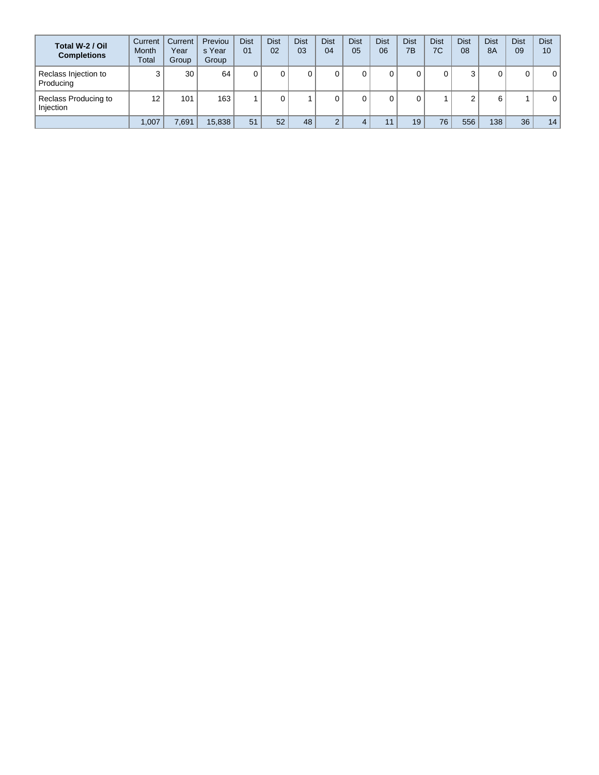| Total W-2 / Oil<br><b>Completions</b> | Current<br><b>Month</b><br>Total | Current<br>Year<br>Group | Previou<br>s Year<br>Group | <b>Dist</b><br>01 | <b>Dist</b><br>02 | <b>Dist</b><br>03 | <b>Dist</b><br>04 | <b>Dist</b><br>05 | <b>Dist</b><br>06 | <b>Dist</b><br>7B | Dist<br>7C | <b>Dist</b><br>08 | <b>Dist</b><br><b>8A</b> | <b>Dist</b><br>09 | <b>Dist</b><br>10 |
|---------------------------------------|----------------------------------|--------------------------|----------------------------|-------------------|-------------------|-------------------|-------------------|-------------------|-------------------|-------------------|------------|-------------------|--------------------------|-------------------|-------------------|
| Reclass Injection to<br>Producing     | ◠                                | 30                       | 64                         |                   |                   |                   | 0                 |                   |                   |                   |            | ◠<br>د            | 0                        | 0                 | 0                 |
| Reclass Producing to<br>Injection     | 12                               | 101                      | 163                        |                   | υ                 |                   | 0                 |                   |                   |                   |            | ົ<br>∠            | 6                        |                   | 0                 |
|                                       | 1,007                            | 7,691                    | 15,838                     | 51                | 52                | 48                | $\Omega$          |                   | 11                | 19                | 76         | 556               | 138                      | 36                | 14                |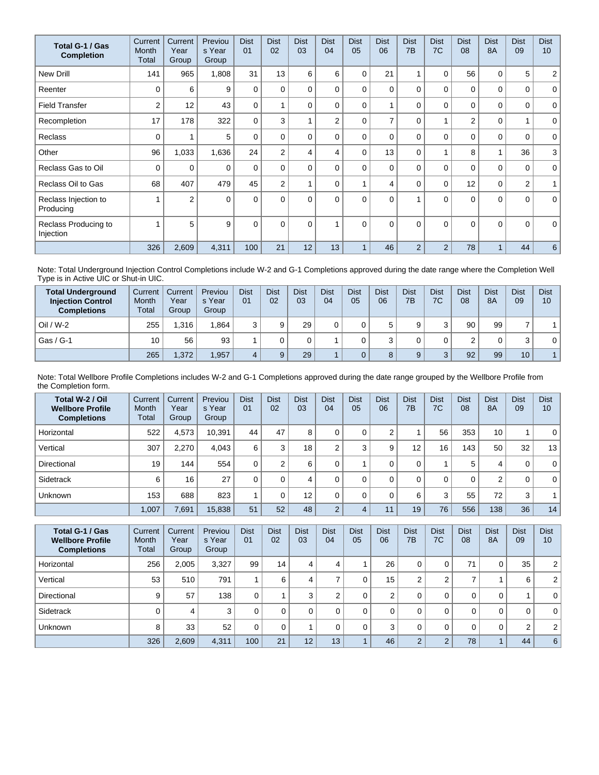| Total G-1 / Gas<br><b>Completion</b> | Current<br>Month<br>Total | Current<br>Year<br>Group | Previou<br>s Year<br>Group | <b>Dist</b><br>01 | <b>Dist</b><br>02 | <b>Dist</b><br>03 | <b>Dist</b><br>04 | <b>Dist</b><br>05 | <b>Dist</b><br>06 | <b>Dist</b><br>7B | <b>Dist</b><br>7C | <b>Dist</b><br>08 | <b>Dist</b><br><b>8A</b> | <b>Dist</b><br>09 | <b>Dist</b><br>10 <sup>1</sup> |
|--------------------------------------|---------------------------|--------------------------|----------------------------|-------------------|-------------------|-------------------|-------------------|-------------------|-------------------|-------------------|-------------------|-------------------|--------------------------|-------------------|--------------------------------|
| <b>New Drill</b>                     | 141                       | 965                      | 1,808                      | 31                | 13                | 6                 | 6                 | 0                 | 21                |                   | 0                 | 56                | 0                        | 5                 | $\overline{2}$                 |
| Reenter                              | $\Omega$                  | 6                        | 9                          | 0                 | 0                 | $\Omega$          | 0                 | $\Omega$          | $\Omega$          | $\Omega$          | $\Omega$          | 0                 | $\Omega$                 | 0                 | $\mathbf 0$                    |
| <b>Field Transfer</b>                | $\overline{2}$            | 12                       | 43                         | $\mathbf 0$       |                   | $\Omega$          | $\Omega$          | $\Omega$          |                   | $\Omega$          | 0                 | 0                 | $\Omega$                 | 0                 | $\mathbf 0$                    |
| Recompletion                         | 17                        | 178                      | 322                        | $\Omega$          | 3                 |                   | $\overline{2}$    | $\Omega$          | 7                 | $\Omega$          | 1                 | $\overline{2}$    | $\Omega$                 | 1                 | $\mathbf 0$                    |
| <b>Reclass</b>                       | $\Omega$                  |                          | 5                          | $\mathbf{0}$      | 0                 | $\Omega$          | 0                 | $\Omega$          | $\Omega$          | $\Omega$          | $\Omega$          | $\mathbf{0}$      | $\Omega$                 | 0                 | $\mathbf 0$                    |
| Other                                | 96                        | 1,033                    | 1,636                      | 24                | $\overline{2}$    | 4                 | 4                 | $\Omega$          | 13                | 0                 | 1                 | 8                 | 1                        | 36                | 3                              |
| Reclass Gas to Oil                   | 0                         | 0                        | $\Omega$                   | $\Omega$          | $\Omega$          | $\Omega$          | 0                 | $\Omega$          | $\Omega$          | $\Omega$          | 0                 | 0                 | $\Omega$                 | 0                 | $\mathbf{0}$                   |
| Reclass Oil to Gas                   | 68                        | 407                      | 479                        | 45                | $\overline{2}$    |                   | 0                 |                   | 4                 | 0                 | 0                 | 12                | $\mathbf 0$              | $\overline{2}$    | 1                              |
| Reclass Injection to<br>Producing    | $\overline{\mathbf{A}}$   | $\overline{2}$           | $\Omega$                   | $\Omega$          | $\Omega$          | $\Omega$          | $\Omega$          | $\Omega$          | $\Omega$          |                   | $\Omega$          | $\Omega$          | $\Omega$                 | $\Omega$          | $\mathbf{0}$                   |
| Reclass Producing to<br>Injection    |                           | 5                        | 9                          | $\mathbf{0}$      | $\Omega$          | $\Omega$          |                   | $\Omega$          | $\Omega$          | $\Omega$          | $\Omega$          | $\Omega$          | $\Omega$                 | $\Omega$          | $\mathbf 0$                    |
|                                      | 326                       | 2,609                    | 4,311                      | 100               | 21                | 12                | 13                |                   | 46                | $\overline{2}$    | $\overline{2}$    | 78                | $\overline{A}$           | 44                | 6                              |

Note: Total Underground Injection Control Completions include W-2 and G-1 Completions approved during the date range where the Completion Well Type is in Active UIC or Shut-in UIC.

| <b>Total Underground</b><br><b>Injection Control</b><br><b>Completions</b> | Current<br>Month<br>Total | Current<br>Year<br>Group | Previou<br>s Year<br>Group | <b>Dist</b><br>0 <sub>1</sub> | <b>Dist</b><br>02 | <b>Dist</b><br>03 | <b>Dist</b><br>04 | <b>Dist</b><br>05 | Dist<br>06 | <b>Dist</b><br>7B | Dist<br>7C        | Dist<br>08 | <b>Dist</b><br><b>8A</b> | <b>Dist</b><br>09 | <b>Dist</b><br>10 |
|----------------------------------------------------------------------------|---------------------------|--------------------------|----------------------------|-------------------------------|-------------------|-------------------|-------------------|-------------------|------------|-------------------|-------------------|------------|--------------------------|-------------------|-------------------|
| $Oil / W-2$                                                                | 255                       | .316                     | 1.864                      |                               | a                 | 29                |                   |                   | 5          | 9                 | 3                 | 90         | 99                       |                   |                   |
| Gas / G-1                                                                  | 10                        | 56                       | 93                         |                               |                   |                   |                   |                   | ≘          |                   |                   |            | 0                        | 3                 | 0                 |
|                                                                            | 265                       | ,372                     | 1,957                      |                               |                   | 29                |                   |                   | 8          | 9                 | $\mathbf{a}$<br>J | 92         | 99                       | 10                |                   |

Note: Total Wellbore Profile Completions includes W-2 and G-1 Completions approved during the date range grouped by the Wellbore Profile from the Completion form.

| Total W-2 / Oil<br><b>Wellbore Profile</b><br><b>Completions</b> | Current<br>Month<br>Total | Current<br>Year<br>Group | Previou<br>s Year<br>Group | <b>Dist</b><br>01 | <b>Dist</b><br>02 | <b>Dist</b><br>03 | <b>Dist</b><br>04 | <b>Dist</b><br>05 | <b>Dist</b><br>06 | <b>Dist</b><br>7 <sub>B</sub> | <b>Dist</b><br>7C | <b>Dist</b><br>08 | <b>Dist</b><br><b>8A</b> | <b>Dist</b><br>09 | <b>Dist</b><br>10 |
|------------------------------------------------------------------|---------------------------|--------------------------|----------------------------|-------------------|-------------------|-------------------|-------------------|-------------------|-------------------|-------------------------------|-------------------|-------------------|--------------------------|-------------------|-------------------|
| Horizontal                                                       | 522                       | 4,573                    | 10,391                     | 44                | 47                | 8                 |                   |                   | $\sim$            |                               | 56                | 353               | 10                       |                   | $\mathbf 0$       |
| Vertical                                                         | 307                       | 2.270                    | 4.043                      | 6                 | 3                 | 18 <sub>1</sub>   | C                 | 3                 | 9                 | $12 \overline{ }$             | 16                | 143               | 50                       | 32                | 13                |
| Directional                                                      | 19                        | 144                      | 554                        | 0                 | ◠                 | 6                 |                   |                   |                   | 0                             |                   | 5                 | 4                        | 0                 | $\mathbf{0}$      |
| Sidetrack                                                        | 6                         | 16                       | 27                         |                   | $\Omega$          | 4                 | 0                 |                   | $\Omega$          | 0                             | $\Omega$          | 0                 | 2                        | 0                 | $\mathbf 0$       |
| Unknown                                                          | 153                       | 688                      | 823                        |                   |                   | 12 <sup>2</sup>   |                   |                   |                   | 6                             | 3                 | 55                | 72                       | 3                 | $\mathbf{1}$      |
|                                                                  | 1,007                     | 7,691                    | 15,838                     | 51                | 52                | 48                | $\Omega$          | 4                 | 11                | 19                            | 76                | 556               | 138                      | 36                | 14                |

| Total G-1 / Gas<br><b>Wellbore Profile</b><br><b>Completions</b> | Current<br><b>Month</b><br>Total | Current<br>Year<br>Group | Previou<br>s Year<br>Group | <b>Dist</b><br>01 | <b>Dist</b><br>02 | <b>Dist</b><br>03 | <b>Dist</b><br>04 | <b>Dist</b><br>05 | <b>Dist</b><br>06 | <b>Dist</b><br>7B | <b>Dist</b><br>7C | <b>Dist</b><br>08 | <b>Dist</b><br>8A | <b>Dist</b><br>09 | <b>Dist</b><br>10 |
|------------------------------------------------------------------|----------------------------------|--------------------------|----------------------------|-------------------|-------------------|-------------------|-------------------|-------------------|-------------------|-------------------|-------------------|-------------------|-------------------|-------------------|-------------------|
| Horizontal                                                       | 256                              | 2.005                    | 3,327                      | 99                | 14                | 4                 | 4                 |                   | 26                | 0                 | 0                 | 71                | 0                 | 35                | 2 <sup>1</sup>    |
| Vertical                                                         | 53                               | 510                      | 791                        |                   | 6                 | 4                 |                   |                   | 15                | ◠                 | 2                 |                   |                   | 6                 | 2 <sup>1</sup>    |
| Directional                                                      | 9                                | 57                       | 138                        | 0                 |                   | 3                 |                   |                   | ◠                 | 0                 | 0                 | 0                 | 0                 |                   | 0 <sup>1</sup>    |
| Sidetrack                                                        |                                  | 4                        | 3                          | 0                 |                   | $\Omega$          |                   |                   |                   | 0                 | 0                 | 0                 | 0                 | 0                 | 0 <sup>1</sup>    |
| <b>Unknown</b>                                                   | 8                                | 33                       | 52                         | 0                 |                   |                   |                   |                   | 3                 | 0                 | 0                 | 0                 | 0                 | 2                 | 2 <sup>1</sup>    |
|                                                                  | 326                              | 2,609                    | 4,311                      | 100               | 21                | 12 <sup>°</sup>   | 13                |                   | 46                | $\overline{2}$    | $\overline{2}$    | 78                |                   | 44                | 6                 |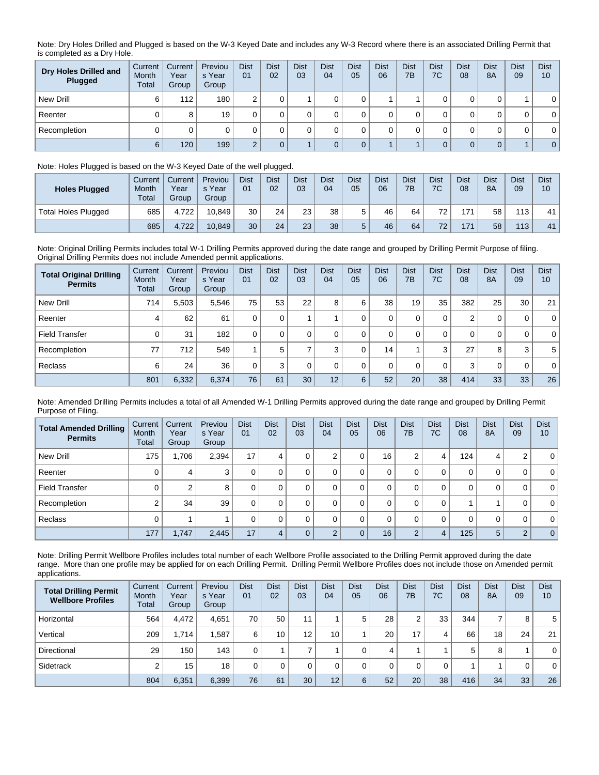Note: Dry Holes Drilled and Plugged is based on the W-3 Keyed Date and includes any W-3 Record where there is an associated Drilling Permit that is completed as a Dry Hole.

| Dry Holes Drilled and<br>Plugged | Current<br>Month<br>Total | Current<br>Year<br>Group | Previou<br>s Year<br>Group | <b>Dist</b><br>01 | <b>Dist</b><br>02 | <b>Dist</b><br>03 | <b>Dist</b><br>04 | <b>Dist</b><br>05 | <b>Dist</b><br>06 | <b>Dist</b><br>7B | <b>Dist</b><br>7C | <b>Dist</b><br>08 | <b>Dist</b><br>8A | <b>Dist</b><br>09 | <b>Dist</b><br>10 |
|----------------------------------|---------------------------|--------------------------|----------------------------|-------------------|-------------------|-------------------|-------------------|-------------------|-------------------|-------------------|-------------------|-------------------|-------------------|-------------------|-------------------|
| New Drill                        | 6                         | 112                      | 180                        | ⌒                 |                   |                   |                   |                   |                   |                   |                   |                   |                   |                   | $\mathbf{0}$      |
| Reenter                          |                           | 8                        | 19                         |                   |                   |                   |                   |                   |                   |                   |                   |                   |                   | 0                 | $\mathbf 0$       |
| Recompletion                     |                           |                          |                            |                   |                   |                   |                   |                   |                   |                   |                   |                   |                   | 0                 | $\mathbf{0}$      |
|                                  | 6                         | 120                      | 199                        | $\sim$            |                   |                   |                   |                   |                   |                   |                   |                   | $\Omega$          |                   | $\overline{0}$    |

## Note: Holes Plugged is based on the W-3 Keyed Date of the well plugged.

| <b>Holes Plugged</b>       | Current<br>Month<br>Total | Current<br>Year<br>Group | Previou<br>s Year<br>Group | <b>Dist</b><br>01 | <b>Dist</b><br>02 | <b>Dist</b><br>03 | <b>Dist</b><br>04 | <b>Dist</b><br>05 | <b>Dist</b><br>06 | <b>Dist</b><br>7B | <b>Dist</b><br>7C | <b>Dist</b><br>08 | <b>Dist</b><br><b>8A</b> | <b>Dist</b><br>09 | <b>Dist</b><br>10 |
|----------------------------|---------------------------|--------------------------|----------------------------|-------------------|-------------------|-------------------|-------------------|-------------------|-------------------|-------------------|-------------------|-------------------|--------------------------|-------------------|-------------------|
| <b>Total Holes Plugged</b> | 685                       | 4.722                    | 10.849                     | 30                | 24                | 23                | 38                |                   | 46                | 64                | 72                | 171               | 58                       | 113               | 41                |
|                            | 685                       | 4.722                    | 10.849                     | 30                | 24                | 23                | 38                |                   | 46                | 64                | 72 <sub>1</sub>   | 171               | 58                       | 113               | 41                |

Note: Original Drilling Permits includes total W-1 Drilling Permits approved during the date range and grouped by Drilling Permit Purpose of filing. Original Drilling Permits does not include Amended permit applications.

| <b>Total Original Drilling</b><br><b>Permits</b> | Current<br>Month<br>Total | Current<br>Year<br>Group | Previou<br>s Year<br>Group | <b>Dist</b><br>01 | <b>Dist</b><br>02 | <b>Dist</b><br>03 | <b>Dist</b><br>04 | <b>Dist</b><br>05 | <b>Dist</b><br>06 | <b>Dist</b><br>7B | <b>Dist</b><br>7C | <b>Dist</b><br>08 | <b>Dist</b><br><b>8A</b> | <b>Dist</b><br>09 | <b>Dist</b><br>10 |
|--------------------------------------------------|---------------------------|--------------------------|----------------------------|-------------------|-------------------|-------------------|-------------------|-------------------|-------------------|-------------------|-------------------|-------------------|--------------------------|-------------------|-------------------|
| New Drill                                        | 714                       | 5.503                    | 5.546                      | 75                | 53                | 22                | 8                 | 6                 | 38                | 19                | 35                | 382               | 25                       | 30                | 21                |
| Reenter                                          | 4                         | 62                       | 61                         |                   | 0                 |                   |                   |                   | 0                 | 0                 | 0                 | 2                 | 0                        | 0                 | $\overline{0}$    |
| <b>Field Transfer</b>                            | 0                         | 31                       | 182                        | $\Omega$          | $\Omega$          |                   |                   |                   | 0                 | 0                 | 0                 | 0                 | 0                        | 0                 | $\overline{0}$    |
| Recompletion                                     | 77                        | 712                      | 549                        |                   | 5                 |                   | 3                 |                   | 14                |                   | 3                 | 27                | 8                        | 3                 | 5 <sup>1</sup>    |
| Reclass                                          | 6                         | 24                       | 36                         |                   | 3                 | 0                 | $\Omega$          |                   | $\Omega$          | 0                 | 0                 | 3                 | 0                        | 0                 | $\overline{0}$    |
|                                                  | 801                       | 6,332                    | 6,374                      | 76                | 61                | 30                | 12                | 6                 | 52                | 20                | 38                | 414               | 33                       | 33                | 26                |

Note: Amended Drilling Permits includes a total of all Amended W-1 Drilling Permits approved during the date range and grouped by Drilling Permit Purpose of Filing.

| <b>Total Amended Drilling</b><br><b>Permits</b> | Current<br>Month<br>Total | Current<br>Year<br>Group | Previou<br>s Year<br>Group | <b>Dist</b><br>01 | <b>Dist</b><br>02 | <b>Dist</b><br>03 | <b>Dist</b><br>04 | <b>Dist</b><br>05 | <b>Dist</b><br>06 | <b>Dist</b><br>7B | <b>Dist</b><br>7C | <b>Dist</b><br>08 | <b>Dist</b><br>8A | <b>Dist</b><br>09 | <b>Dist</b><br>10 |
|-------------------------------------------------|---------------------------|--------------------------|----------------------------|-------------------|-------------------|-------------------|-------------------|-------------------|-------------------|-------------------|-------------------|-------------------|-------------------|-------------------|-------------------|
| New Drill                                       | 175                       | 1,706                    | 2,394                      | 17                | 4                 | 0                 | ⌒                 | 0                 | 16                | 2                 | 4                 | 124               | 4                 | ◠<br>۷            | $\overline{0}$    |
| Reenter                                         |                           | 4                        | 3                          | 0                 |                   | 0                 |                   | 0                 | 0                 | 0                 | 0                 | 0                 | 0                 | 0                 | $\overline{0}$    |
| <b>Field Transfer</b>                           |                           | 2                        | 8                          | 0                 |                   |                   |                   | 0                 | 0                 | 0                 | 0                 | 0                 | 0                 | 0                 | $\overline{0}$    |
| Recompletion                                    |                           | 34                       | 39                         | 0                 |                   | 0                 |                   | 0                 | 0                 | 0                 | 0                 |                   |                   | 0                 | $\overline{0}$    |
| Reclass                                         |                           |                          |                            | 0                 |                   | $\Omega$          |                   | 0                 | 0                 | 0                 | 0                 | 0                 | 0                 | 0                 | $\overline{0}$    |
|                                                 | 177                       | 1,747                    | 2,445                      | 17                | 4                 |                   | C                 | $\mathbf 0$       | 16                | $\overline{2}$    | $\overline{4}$    | 125               | 5                 | $\overline{2}$    | 0                 |

Note: Drilling Permit Wellbore Profiles includes total number of each Wellbore Profile associated to the Drilling Permit approved during the date range. More than one profile may be applied for on each Drilling Permit. Drilling Permit Wellbore Profiles does not include those on Amended permit applications.

| <b>Total Drilling Permit</b><br><b>Wellbore Profiles</b> | Current <sup>7</sup><br>Month<br>Total | Current<br>Year<br>Group | Previou<br>s Year<br>Group | <b>Dist</b><br>01 | <b>Dist</b><br>02 | <b>Dist</b><br>03 | <b>Dist</b><br>04 | <b>Dist</b><br>05 | <b>Dist</b><br>06 | <b>Dist</b><br>7B | <b>Dist</b><br>7C | <b>Dist</b><br>08 | <b>Dist</b><br>8A | <b>Dist</b><br>09 | <b>Dist</b><br>10 |
|----------------------------------------------------------|----------------------------------------|--------------------------|----------------------------|-------------------|-------------------|-------------------|-------------------|-------------------|-------------------|-------------------|-------------------|-------------------|-------------------|-------------------|-------------------|
| Horizontal                                               | 564                                    | 4.472                    | 4,651                      | 70                | 50                | 11                |                   | 5                 | 28                | 2                 | 33                | 344               | $\overline{7}$    | 8                 | 5                 |
| Vertical                                                 | 209                                    | 1.714                    | .587                       | 6                 | 10                | 12 <sub>1</sub>   | 10 <sub>1</sub>   |                   | 20                | 17                | 4                 | 66                | 18                | 24                | 21                |
| Directional                                              | 29                                     | 150                      | 143                        | 0                 |                   |                   |                   |                   | 4                 |                   |                   | 5                 | 8                 |                   | $\mathbf{0}$      |
| Sidetrack                                                |                                        | 15                       | 18                         | $\Omega$          |                   |                   |                   |                   |                   |                   | 0                 |                   |                   | 0                 | $\mathbf{0}$      |
|                                                          | 804                                    | 6,351                    | 6,399                      | 76                | 61                | 30                | 12                | 6                 | 52                | 20                | 38                | 416               | 34                | 33                | 26                |